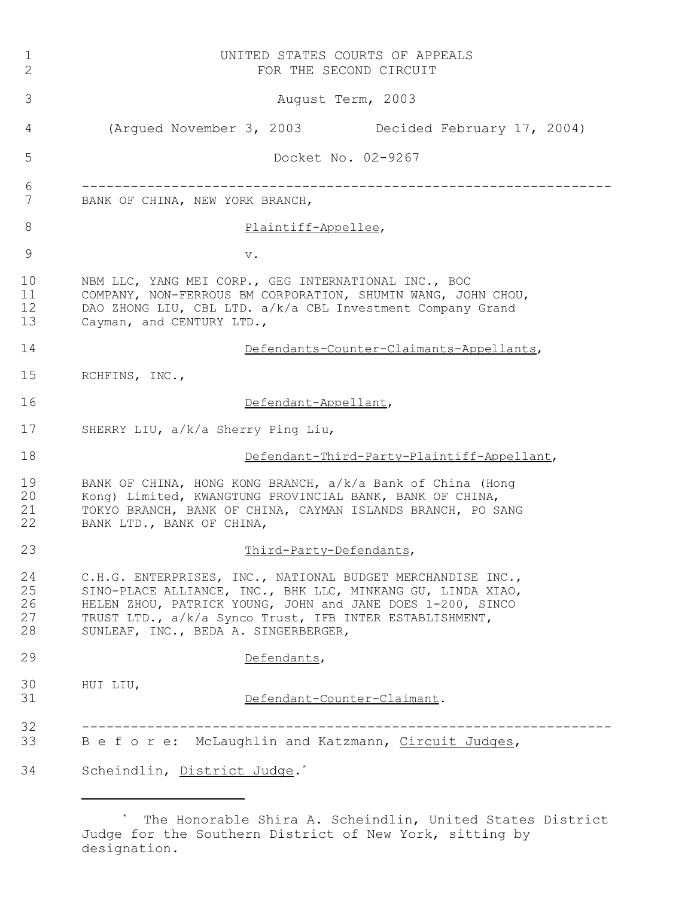| $\mathbf 1$<br>2           | UNITED STATES COURTS OF APPEALS<br>FOR THE SECOND CIRCUIT                                                                                                                                                                                                                                   |
|----------------------------|---------------------------------------------------------------------------------------------------------------------------------------------------------------------------------------------------------------------------------------------------------------------------------------------|
| 3                          | August Term, 2003                                                                                                                                                                                                                                                                           |
| 4                          | (Argued November 3, 2003<br>Decided February 17, 2004)                                                                                                                                                                                                                                      |
| 5                          | Docket No. 02-9267                                                                                                                                                                                                                                                                          |
| 6<br>7                     | BANK OF CHINA, NEW YORK BRANCH,                                                                                                                                                                                                                                                             |
| 8                          | Plaintiff-Appellee,                                                                                                                                                                                                                                                                         |
| 9                          | $\mathbf v$ .                                                                                                                                                                                                                                                                               |
| 10<br>11<br>12<br>13       | NBM LLC, YANG MEI CORP., GEG INTERNATIONAL INC., BOC<br>COMPANY, NON-FERROUS BM CORPORATION, SHUMIN WANG, JOHN CHOU,<br>DAO ZHONG LIU, CBL LTD. a/k/a CBL Investment Company Grand<br>Cayman, and CENTURY LTD.,                                                                             |
| 14                         | Defendants-Counter-Claimants-Appellants,                                                                                                                                                                                                                                                    |
| 15                         | RCHFINS, INC.,                                                                                                                                                                                                                                                                              |
| 16                         | Defendant-Appellant,                                                                                                                                                                                                                                                                        |
| 17                         | SHERRY LIU, a/k/a Sherry Ping Liu,                                                                                                                                                                                                                                                          |
| 18                         | Defendant-Third-Party-Plaintiff-Appellant,                                                                                                                                                                                                                                                  |
| 19<br>20<br>21<br>22       | BANK OF CHINA, HONG KONG BRANCH, a/k/a Bank of China (Hong<br>Kong) Limited, KWANGTUNG PROVINCIAL BANK, BANK OF CHINA,<br>TOKYO BRANCH, BANK OF CHINA, CAYMAN ISLANDS BRANCH, PO SANG<br>BANK LTD., BANK OF CHINA,                                                                          |
| 23                         | Third-Party-Defendants,                                                                                                                                                                                                                                                                     |
| 24<br>25<br>26<br>27<br>28 | C.H.G. ENTERPRISES, INC., NATIONAL BUDGET MERCHANDISE INC.,<br>SINO-PLACE ALLIANCE, INC., BHK LLC, MINKANG GU, LINDA XIAO,<br>HELEN ZHOU, PATRICK YOUNG, JOHN and JANE DOES 1-200, SINCO<br>TRUST LTD., a/k/a Synco Trust, IFB INTER ESTABLISHMENT,<br>SUNLEAF, INC., BEDA A. SINGERBERGER, |
|                            |                                                                                                                                                                                                                                                                                             |
| 29                         | Defendants,                                                                                                                                                                                                                                                                                 |
| 30<br>31                   | HUI LIU,<br>Defendant-Counter-Claimant.                                                                                                                                                                                                                                                     |
| 32<br>33                   | Be fore: McLaughlin and Katzmann, Circuit Judges,                                                                                                                                                                                                                                           |

<sup>\*</sup> The Honorable Shira A. Scheindlin, United States District Judge for the Southern District of New York, sitting by designation.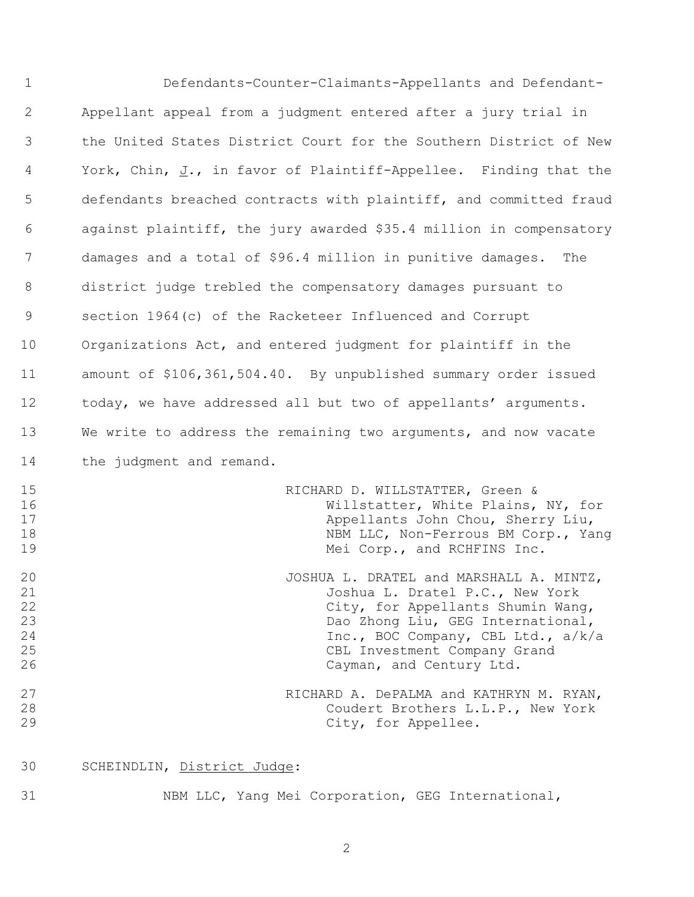| $\mathbf{1}$                           | Defendants-Counter-Claimants-Appellants and Defendant-                                                                                                                                                                                                 |
|----------------------------------------|--------------------------------------------------------------------------------------------------------------------------------------------------------------------------------------------------------------------------------------------------------|
| 2                                      | Appellant appeal from a judgment entered after a jury trial in                                                                                                                                                                                         |
| 3                                      | the United States District Court for the Southern District of New                                                                                                                                                                                      |
| 4                                      | York, Chin, J., in favor of Plaintiff-Appellee. Finding that the                                                                                                                                                                                       |
| 5                                      | defendants breached contracts with plaintiff, and committed fraud                                                                                                                                                                                      |
| 6                                      | against plaintiff, the jury awarded \$35.4 million in compensatory                                                                                                                                                                                     |
| 7                                      | damages and a total of \$96.4 million in punitive damages. The                                                                                                                                                                                         |
| 8                                      | district judge trebled the compensatory damages pursuant to                                                                                                                                                                                            |
| 9                                      | section 1964 (c) of the Racketeer Influenced and Corrupt                                                                                                                                                                                               |
| 10                                     | Organizations Act, and entered judgment for plaintiff in the                                                                                                                                                                                           |
| 11                                     | amount of \$106,361,504.40. By unpublished summary order issued                                                                                                                                                                                        |
| 12                                     | today, we have addressed all but two of appellants' arguments.                                                                                                                                                                                         |
| 13                                     | We write to address the remaining two arguments, and now vacate                                                                                                                                                                                        |
| 14                                     | the judgment and remand.                                                                                                                                                                                                                               |
| 15<br>16<br>17<br>18<br>19             | RICHARD D. WILLSTATTER, Green &<br>Willstatter, White Plains, NY, for<br>Appellants John Chou, Sherry Liu,<br>NBM LLC, Non-Ferrous BM Corp., Yang<br>Mei Corp., and RCHFINS Inc.                                                                       |
| 20<br>21<br>22<br>23<br>24<br>25<br>26 | JOSHUA L. DRATEL and MARSHALL A. MINTZ,<br>Joshua L. Dratel P.C., New York<br>City, for Appellants Shumin Wang,<br>Dao Zhong Liu, GEG International,<br>Inc., BOC Company, CBL Ltd., a/k/a<br>CBL Investment Company Grand<br>Cayman, and Century Ltd. |
| 27<br>28<br>29                         | RICHARD A. DePALMA and KATHRYN M. RYAN,<br>Coudert Brothers L.L.P., New York<br>City, for Appellee.                                                                                                                                                    |

SCHEINDLIN, District Judge:

NBM LLC, Yang Mei Corporation, GEG International,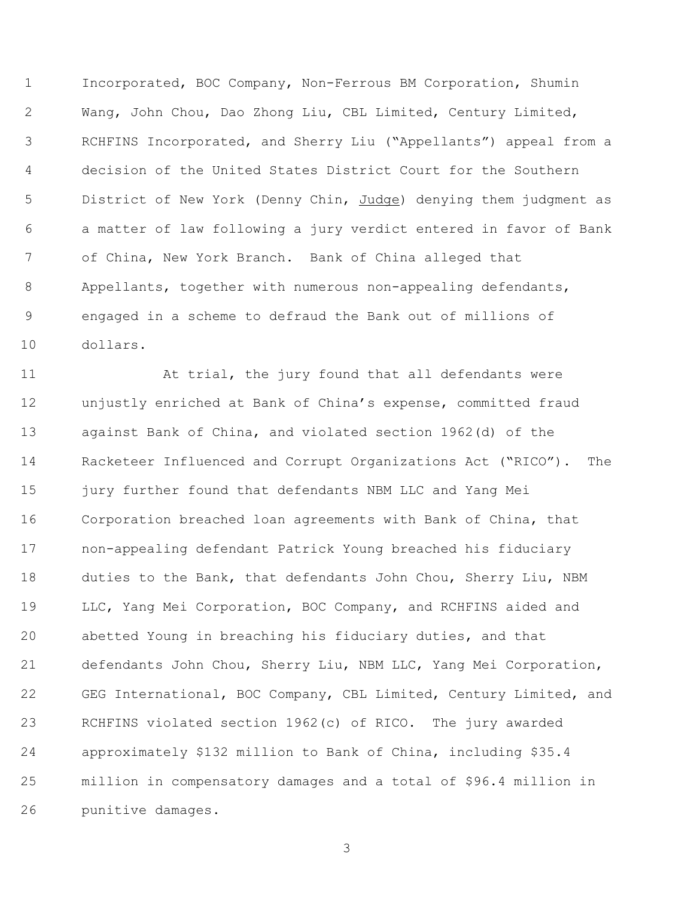Incorporated, BOC Company, Non-Ferrous BM Corporation, Shumin Wang, John Chou, Dao Zhong Liu, CBL Limited, Century Limited, RCHFINS Incorporated, and Sherry Liu ("Appellants") appeal from a decision of the United States District Court for the Southern 5 District of New York (Denny Chin, Judge) denying them judgment as a matter of law following a jury verdict entered in favor of Bank of China, New York Branch. Bank of China alleged that Appellants, together with numerous non-appealing defendants, engaged in a scheme to defraud the Bank out of millions of dollars.

11 At trial, the jury found that all defendants were unjustly enriched at Bank of China's expense, committed fraud against Bank of China, and violated section 1962(d) of the Racketeer Influenced and Corrupt Organizations Act ("RICO"). The jury further found that defendants NBM LLC and Yang Mei Corporation breached loan agreements with Bank of China, that non-appealing defendant Patrick Young breached his fiduciary duties to the Bank, that defendants John Chou, Sherry Liu, NBM LLC, Yang Mei Corporation, BOC Company, and RCHFINS aided and abetted Young in breaching his fiduciary duties, and that defendants John Chou, Sherry Liu, NBM LLC, Yang Mei Corporation, 22 GEG International, BOC Company, CBL Limited, Century Limited, and RCHFINS violated section 1962(c) of RICO. The jury awarded approximately \$132 million to Bank of China, including \$35.4 million in compensatory damages and a total of \$96.4 million in punitive damages.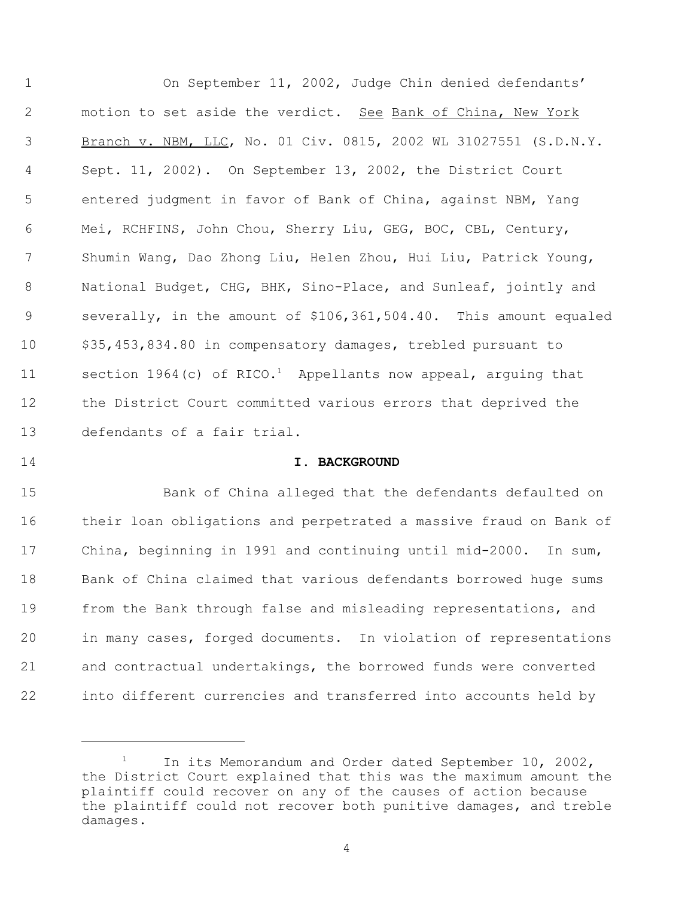On September 11, 2002, Judge Chin denied defendants' 2 motion to set aside the verdict. See Bank of China, New York 3 Branch v. NBM, LLC, No. 01 Civ. 0815, 2002 WL 31027551 (S.D.N.Y. Sept. 11, 2002). On September 13, 2002, the District Court entered judgment in favor of Bank of China, against NBM, Yang Mei, RCHFINS, John Chou, Sherry Liu, GEG, BOC, CBL, Century, Shumin Wang, Dao Zhong Liu, Helen Zhou, Hui Liu, Patrick Young, National Budget, CHG, BHK, Sino-Place, and Sunleaf, jointly and severally, in the amount of \$106,361,504.40. This amount equaled \$35,453,834.80 in compensatory damages, trebled pursuant to 11 section  $1964(c)$  of RICO.<sup>1</sup> Appellants now appeal, arguing that the District Court committed various errors that deprived the defendants of a fair trial.

## **I. BACKGROUND**

 Bank of China alleged that the defendants defaulted on their loan obligations and perpetrated a massive fraud on Bank of China, beginning in 1991 and continuing until mid-2000. In sum, Bank of China claimed that various defendants borrowed huge sums from the Bank through false and misleading representations, and in many cases, forged documents. In violation of representations and contractual undertakings, the borrowed funds were converted into different currencies and transferred into accounts held by

<sup>&</sup>lt;sup>1</sup> In its Memorandum and Order dated September 10, 2002, the District Court explained that this was the maximum amount the plaintiff could recover on any of the causes of action because the plaintiff could not recover both punitive damages, and treble damages.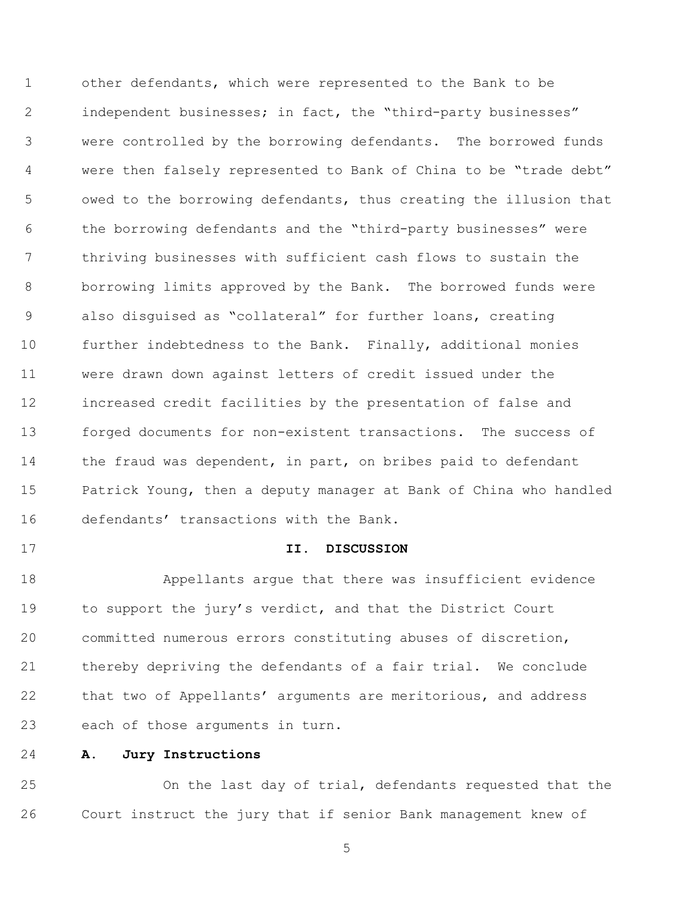other defendants, which were represented to the Bank to be 2 independent businesses; in fact, the "third-party businesses" were controlled by the borrowing defendants. The borrowed funds were then falsely represented to Bank of China to be "trade debt" owed to the borrowing defendants, thus creating the illusion that the borrowing defendants and the "third-party businesses" were thriving businesses with sufficient cash flows to sustain the borrowing limits approved by the Bank. The borrowed funds were also disguised as "collateral" for further loans, creating further indebtedness to the Bank. Finally, additional monies were drawn down against letters of credit issued under the increased credit facilities by the presentation of false and forged documents for non-existent transactions. The success of 14 the fraud was dependent, in part, on bribes paid to defendant Patrick Young, then a deputy manager at Bank of China who handled defendants' transactions with the Bank.

## **II. DISCUSSION**

 Appellants argue that there was insufficient evidence to support the jury's verdict, and that the District Court committed numerous errors constituting abuses of discretion, thereby depriving the defendants of a fair trial. We conclude that two of Appellants' arguments are meritorious, and address each of those arguments in turn.

**A. Jury Instructions**

 On the last day of trial, defendants requested that the Court instruct the jury that if senior Bank management knew of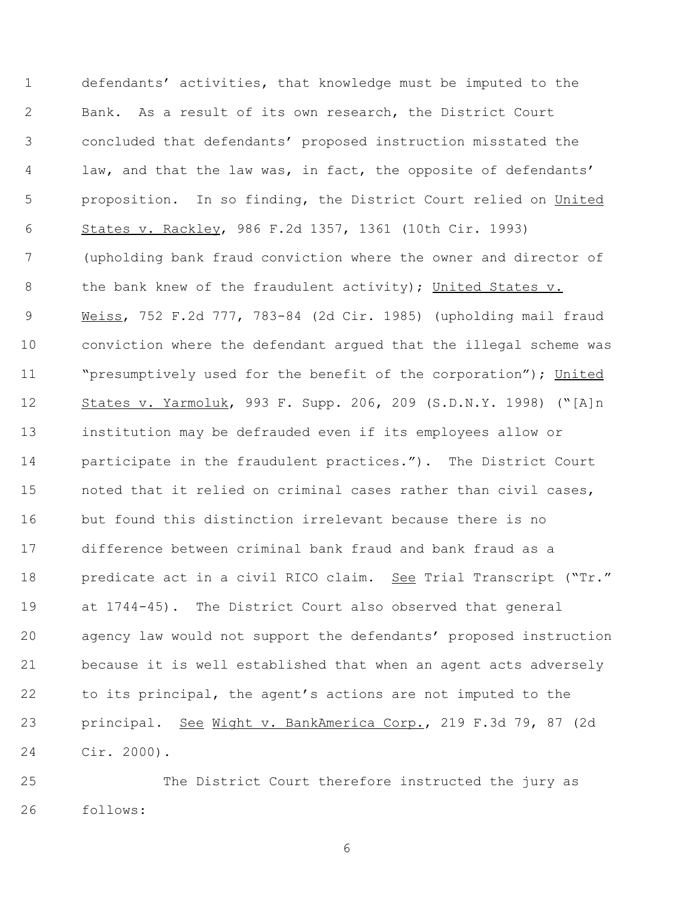defendants' activities, that knowledge must be imputed to the Bank. As a result of its own research, the District Court concluded that defendants' proposed instruction misstated the law, and that the law was, in fact, the opposite of defendants' 5 proposition. In so finding, the District Court relied on United States v. Rackley, 986 F.2d 1357, 1361 (10th Cir. 1993) (upholding bank fraud conviction where the owner and director of 8 the bank knew of the fraudulent activity); United States v. Weiss, 752 F.2d 777, 783-84 (2d Cir. 1985) (upholding mail fraud conviction where the defendant argued that the illegal scheme was 11 "Presumptively used for the benefit of the corporation"); United States v. Yarmoluk, 993 F. Supp. 206, 209 (S.D.N.Y. 1998) ("[A]n institution may be defrauded even if its employees allow or participate in the fraudulent practices."). The District Court noted that it relied on criminal cases rather than civil cases, but found this distinction irrelevant because there is no difference between criminal bank fraud and bank fraud as a 18 predicate act in a civil RICO claim. See Trial Transcript ("Tr." at 1744-45). The District Court also observed that general agency law would not support the defendants' proposed instruction because it is well established that when an agent acts adversely to its principal, the agent's actions are not imputed to the 23 principal. See Wight v. BankAmerica Corp., 219 F.3d 79, 87 (2d Cir. 2000).

 The District Court therefore instructed the jury as follows: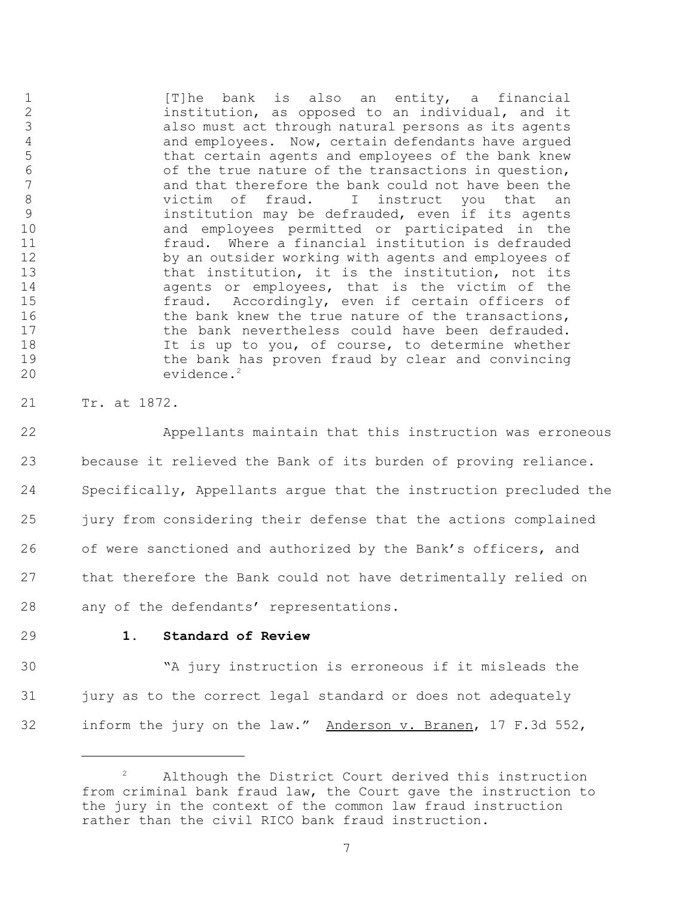1 [T]he bank is also an entity, a financial<br>2 institution, as opposed to an individual, and it 2 institution, as opposed to an individual, and it<br>3 also must act through natural persons as its agents also must act through natural persons as its agents 4 and employees. Now, certain defendants have argued<br>5 that certain agents and employees of the bank knew 5 that certain agents and employees of the bank knew<br>6 6 the true nature of the transactions in question. 6 of the true nature of the transactions in question,<br>7 and that therefore the bank could not have been the 7 and that therefore the bank could not have been the<br>8 bictim of fraud. I instruct you that an victim of fraud. I instruct you that an 9 institution may be defrauded, even if its agents 10 and employees permitted or participated in the 11 fraud. Where a financial institution is defrauded 12 by an outsider working with agents and employees of 13 that institution, it is the institution, not its<br>14 agents or employees, that is the victim of the agents or employees, that is the victim of the 15 fraud. Accordingly, even if certain officers of 16 the bank knew the true nature of the transactions, 17 the bank nevertheless could have been defrauded. 18 It is up to you, of course, to determine whether 19 the bank has proven fraud by clear and convincing 20 evidence.<sup>2</sup>

21 Tr. at 1872.

 Appellants maintain that this instruction was erroneous because it relieved the Bank of its burden of proving reliance. Specifically, Appellants argue that the instruction precluded the jury from considering their defense that the actions complained of were sanctioned and authorized by the Bank's officers, and that therefore the Bank could not have detrimentally relied on any of the defendants' representations.

# 29 **1. Standard of Review**

30 "A jury instruction is erroneous if it misleads the 31 jury as to the correct legal standard or does not adequately 32 inform the jury on the law." Anderson v. Branen, 17 F.3d 552,

Although the District Court derived this instruction from criminal bank fraud law, the Court gave the instruction to the jury in the context of the common law fraud instruction rather than the civil RICO bank fraud instruction.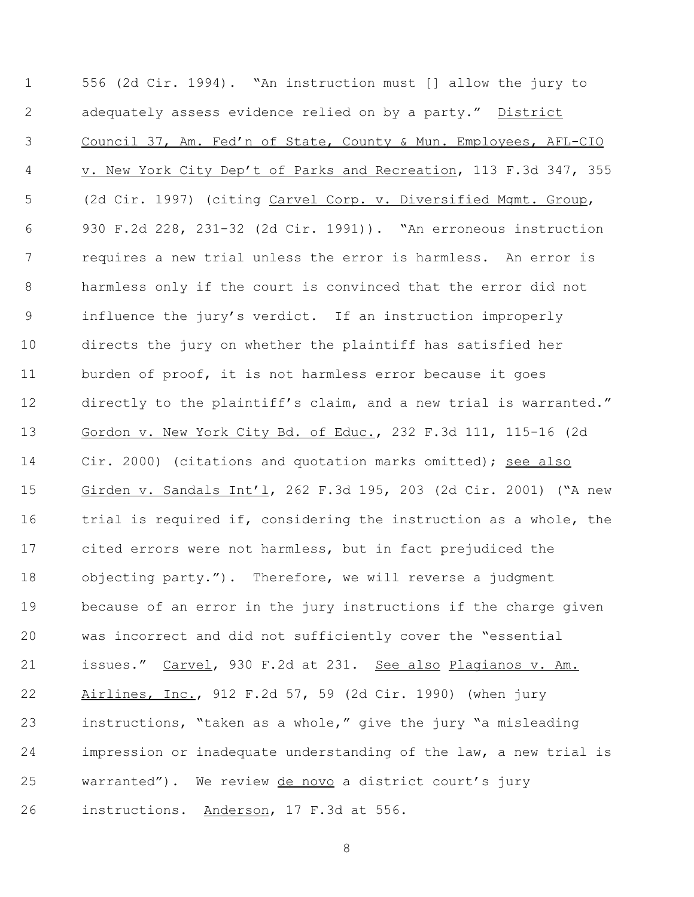556 (2d Cir. 1994). "An instruction must [] allow the jury to 2 adequately assess evidence relied on by a party." District Council 37, Am. Fed'n of State, County & Mun. Employees, AFL-CIO v. New York City Dep't of Parks and Recreation, 113 F.3d 347, 355 (2d Cir. 1997) (citing Carvel Corp. v. Diversified Mgmt. Group, 930 F.2d 228, 231-32 (2d Cir. 1991)). "An erroneous instruction requires a new trial unless the error is harmless. An error is harmless only if the court is convinced that the error did not influence the jury's verdict. If an instruction improperly directs the jury on whether the plaintiff has satisfied her burden of proof, it is not harmless error because it goes 12 directly to the plaintiff's claim, and a new trial is warranted." Gordon v. New York City Bd. of Educ., 232 F.3d 111, 115-16 (2d Cir. 2000) (citations and quotation marks omitted); see also Girden v. Sandals Int'l, 262 F.3d 195, 203 (2d Cir. 2001) ("A new trial is required if, considering the instruction as a whole, the cited errors were not harmless, but in fact prejudiced the objecting party."). Therefore, we will reverse a judgment because of an error in the jury instructions if the charge given was incorrect and did not sufficiently cover the "essential 21 issues." Carvel, 930 F.2d at 231. See also Plagianos v. Am. Airlines, Inc., 912 F.2d 57, 59 (2d Cir. 1990) (when jury instructions, "taken as a whole," give the jury "a misleading impression or inadequate understanding of the law, a new trial is warranted"). We review de novo a district court's jury instructions. Anderson, 17 F.3d at 556.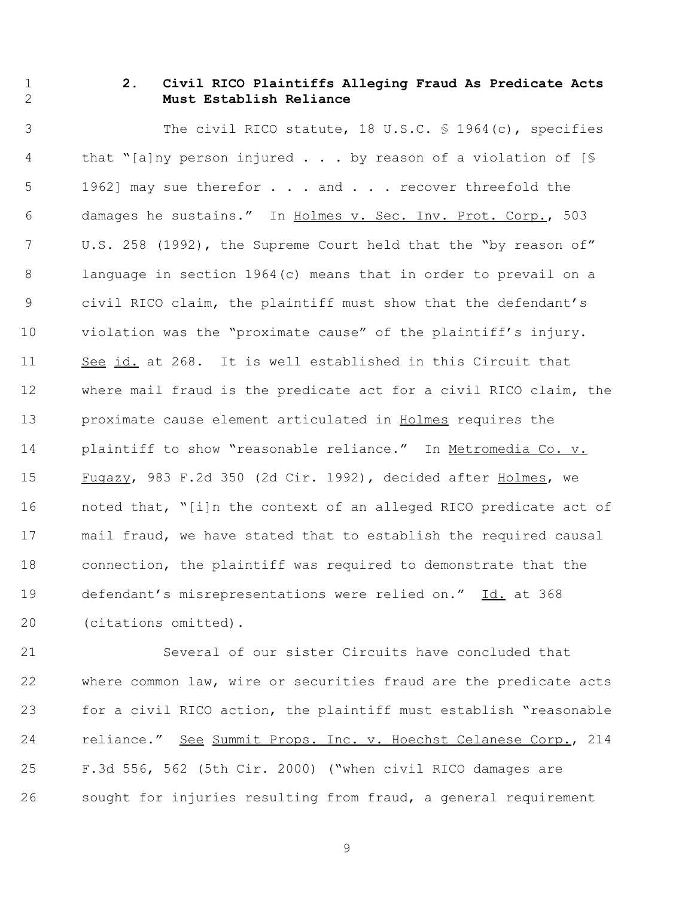# **2. Civil RICO Plaintiffs Alleging Fraud As Predicate Acts Must Establish Reliance**

 The civil RICO statute, 18 U.S.C. § 1964(c), specifies that "[a]ny person injured . . . by reason of a violation of [§ 5 1962] may sue therefor . . . and . . . recover threefold the damages he sustains." In Holmes v. Sec. Inv. Prot. Corp., 503 U.S. 258 (1992), the Supreme Court held that the "by reason of" language in section 1964(c) means that in order to prevail on a civil RICO claim, the plaintiff must show that the defendant's violation was the "proximate cause" of the plaintiff's injury. 11 See id. at 268. It is well established in this Circuit that where mail fraud is the predicate act for a civil RICO claim, the proximate cause element articulated in Holmes requires the 14 plaintiff to show "reasonable reliance." In Metromedia Co. v. Fugazy, 983 F.2d 350 (2d Cir. 1992), decided after Holmes, we noted that, "[i]n the context of an alleged RICO predicate act of mail fraud, we have stated that to establish the required causal connection, the plaintiff was required to demonstrate that the 19 defendant's misrepresentations were relied on." Id. at 368 (citations omitted).

 Several of our sister Circuits have concluded that where common law, wire or securities fraud are the predicate acts for a civil RICO action, the plaintiff must establish "reasonable 24 reliance." See Summit Props. Inc. v. Hoechst Celanese Corp., 214 F.3d 556, 562 (5th Cir. 2000) ("when civil RICO damages are sought for injuries resulting from fraud, a general requirement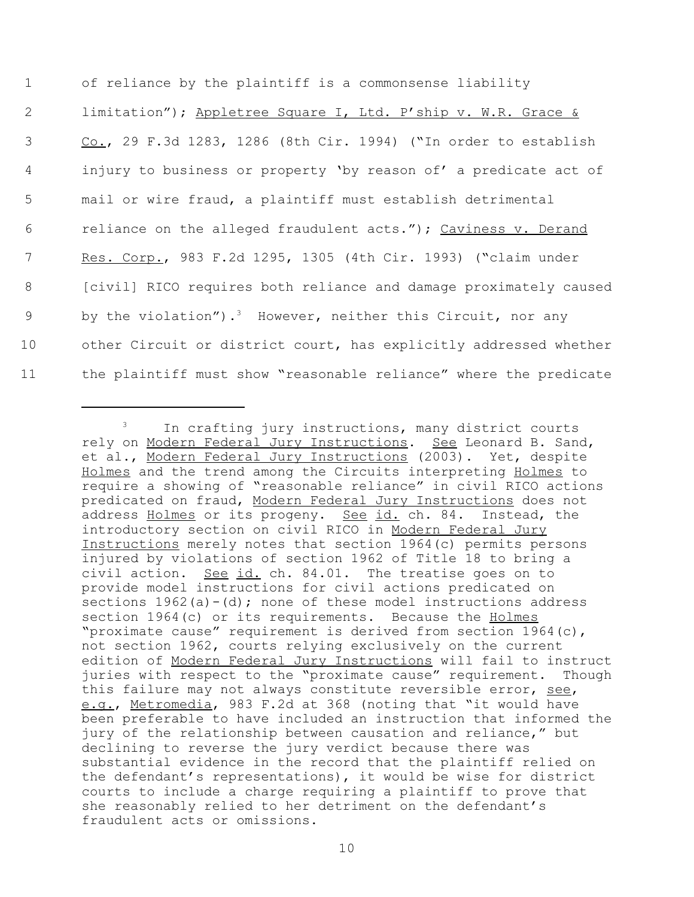of reliance by the plaintiff is a commonsense liability 2 limitation"); Appletree Square I, Ltd. P'ship v. W.R. Grace & Co., 29 F.3d 1283, 1286 (8th Cir. 1994) ("In order to establish injury to business or property 'by reason of' a predicate act of mail or wire fraud, a plaintiff must establish detrimental reliance on the alleged fraudulent acts."); Caviness v. Derand Res. Corp., 983 F.2d 1295, 1305 (4th Cir. 1993) ("claim under 8 [civil] RICO requires both reliance and damage proximately caused 9 by the violation").<sup>3</sup> However, neither this Circuit, nor any other Circuit or district court, has explicitly addressed whether the plaintiff must show "reasonable reliance" where the predicate

<sup>&</sup>lt;sup>3</sup> In crafting jury instructions, many district courts rely on Modern Federal Jury Instructions. See Leonard B. Sand, et al., Modern Federal Jury Instructions (2003). Yet, despite Holmes and the trend among the Circuits interpreting Holmes to require a showing of "reasonable reliance" in civil RICO actions predicated on fraud, Modern Federal Jury Instructions does not address Holmes or its progeny. See id. ch. 84. Instead, the introductory section on civil RICO in Modern Federal Jury Instructions merely notes that section 1964(c) permits persons injured by violations of section 1962 of Title 18 to bring a civil action. See id. ch. 84.01. The treatise goes on to provide model instructions for civil actions predicated on sections  $1962(a) - (d)$ ; none of these model instructions address section 1964(c) or its requirements. Because the Holmes "proximate cause" requirement is derived from section 1964(c), not section 1962, courts relying exclusively on the current edition of Modern Federal Jury Instructions will fail to instruct juries with respect to the "proximate cause" requirement. Though this failure may not always constitute reversible error, see, e.g., Metromedia, 983 F.2d at 368 (noting that "it would have been preferable to have included an instruction that informed the jury of the relationship between causation and reliance," but declining to reverse the jury verdict because there was substantial evidence in the record that the plaintiff relied on the defendant's representations), it would be wise for district courts to include a charge requiring a plaintiff to prove that she reasonably relied to her detriment on the defendant's fraudulent acts or omissions.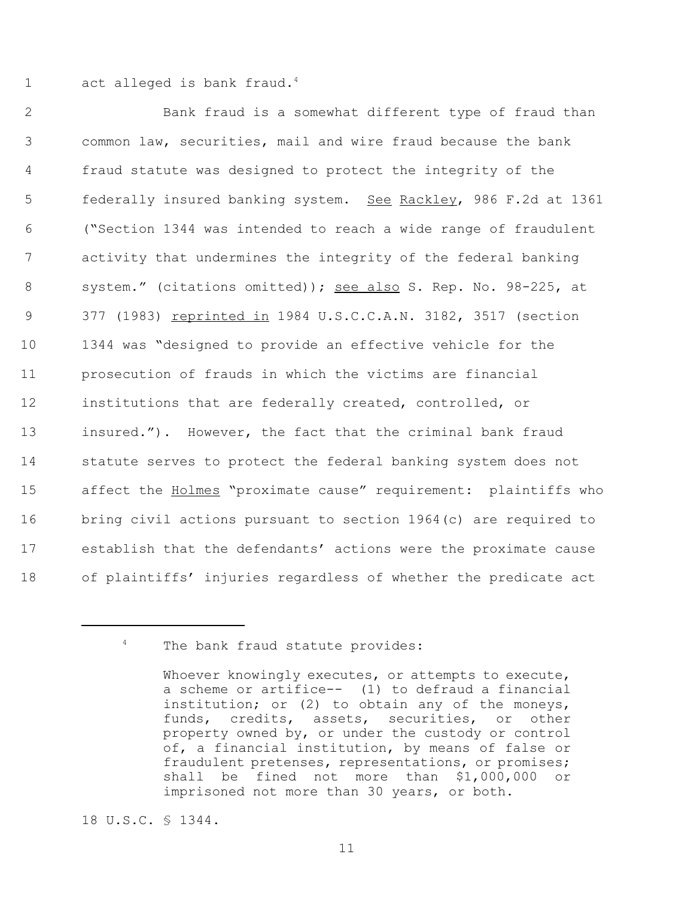1 act alleged is bank fraud. $4$ 

 Bank fraud is a somewhat different type of fraud than common law, securities, mail and wire fraud because the bank fraud statute was designed to protect the integrity of the 5 federally insured banking system. See Rackley, 986 F.2d at 1361 ("Section 1344 was intended to reach a wide range of fraudulent activity that undermines the integrity of the federal banking 8 system." (citations omitted)); see also S. Rep. No. 98-225, at 9 377 (1983) reprinted in 1984 U.S.C.C.A.N. 3182, 3517 (section 1344 was "designed to provide an effective vehicle for the prosecution of frauds in which the victims are financial institutions that are federally created, controlled, or insured."). However, the fact that the criminal bank fraud statute serves to protect the federal banking system does not 15 affect the **Holmes** "proximate cause" requirement: plaintiffs who bring civil actions pursuant to section 1964(c) are required to establish that the defendants' actions were the proximate cause of plaintiffs' injuries regardless of whether the predicate act

18 U.S.C. § 1344.

<sup>&</sup>lt;sup>4</sup> The bank fraud statute provides:

Whoever knowingly executes, or attempts to execute, a scheme or artifice-- (1) to defraud a financial institution; or (2) to obtain any of the moneys, funds, credits, assets, securities, or other property owned by, or under the custody or control of, a financial institution, by means of false or fraudulent pretenses, representations, or promises; shall be fined not more than \$1,000,000 or imprisoned not more than 30 years, or both.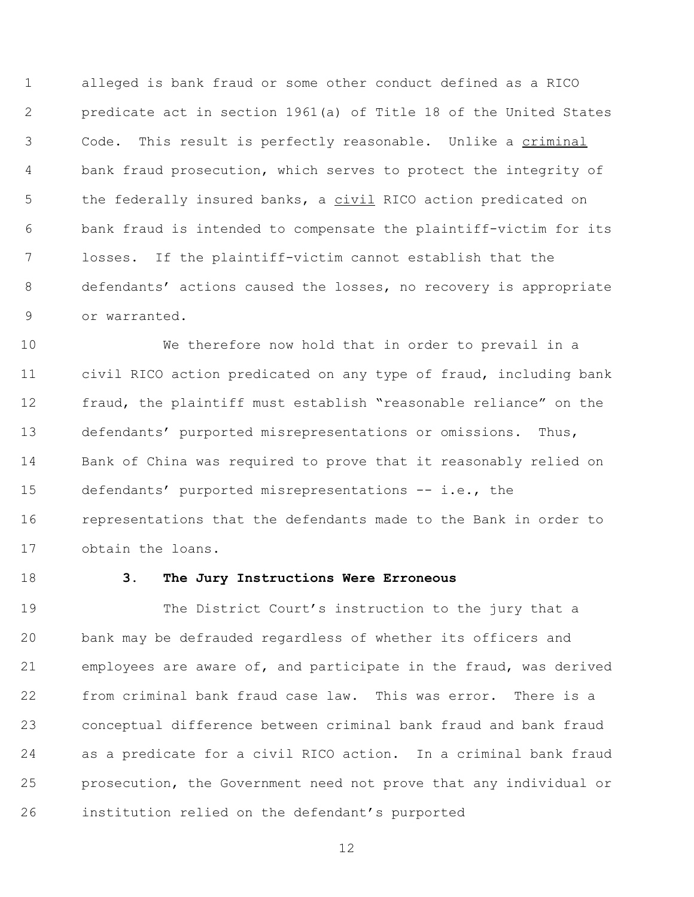alleged is bank fraud or some other conduct defined as a RICO predicate act in section 1961(a) of Title 18 of the United States 3 Code. This result is perfectly reasonable. Unlike a criminal bank fraud prosecution, which serves to protect the integrity of 5 the federally insured banks, a civil RICO action predicated on bank fraud is intended to compensate the plaintiff-victim for its losses. If the plaintiff-victim cannot establish that the defendants' actions caused the losses, no recovery is appropriate or warranted.

 We therefore now hold that in order to prevail in a civil RICO action predicated on any type of fraud, including bank fraud, the plaintiff must establish "reasonable reliance" on the defendants' purported misrepresentations or omissions. Thus, Bank of China was required to prove that it reasonably relied on defendants' purported misrepresentations -- i.e., the representations that the defendants made to the Bank in order to obtain the loans.

# **3. The Jury Instructions Were Erroneous**

 The District Court's instruction to the jury that a bank may be defrauded regardless of whether its officers and employees are aware of, and participate in the fraud, was derived from criminal bank fraud case law. This was error. There is a conceptual difference between criminal bank fraud and bank fraud as a predicate for a civil RICO action. In a criminal bank fraud prosecution, the Government need not prove that any individual or institution relied on the defendant's purported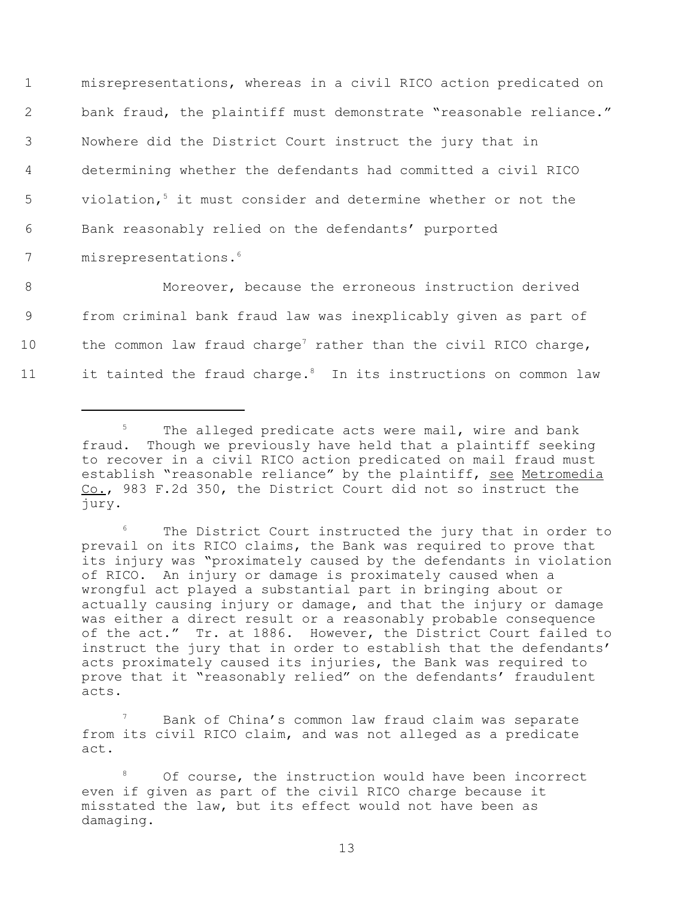1 misrepresentations, whereas in a civil RICO action predicated on 2 bank fraud, the plaintiff must demonstrate "reasonable reliance." 3 Nowhere did the District Court instruct the jury that in 4 determining whether the defendants had committed a civil RICO 5 violation,<sup>5</sup> it must consider and determine whether or not the 6 Bank reasonably relied on the defendants' purported 7 misrepresentations.<sup>6</sup>

8 Moreover, because the erroneous instruction derived 9 from criminal bank fraud law was inexplicably given as part of 10 the common law fraud charge<sup>7</sup> rather than the civil RICO charge, 11 it tainted the fraud charge. $8$  In its instructions on common law

The District Court instructed the jury that in order to prevail on its RICO claims, the Bank was required to prove that its injury was "proximately caused by the defendants in violation of RICO. An injury or damage is proximately caused when a wrongful act played a substantial part in bringing about or actually causing injury or damage, and that the injury or damage was either a direct result or a reasonably probable consequence of the act." Tr. at 1886. However, the District Court failed to instruct the jury that in order to establish that the defendants' acts proximately caused its injuries, the Bank was required to prove that it "reasonably relied" on the defendants' fraudulent acts.

Bank of China's common law fraud claim was separate from its civil RICO claim, and was not alleged as a predicate act.

<sup>&</sup>lt;sup>5</sup> The alleged predicate acts were mail, wire and bank fraud. Though we previously have held that a plaintiff seeking to recover in a civil RICO action predicated on mail fraud must establish "reasonable reliance" by the plaintiff, see Metromedia Co., 983 F.2d 350, the District Court did not so instruct the jury.

Of course, the instruction would have been incorrect even if given as part of the civil RICO charge because it misstated the law, but its effect would not have been as damaging.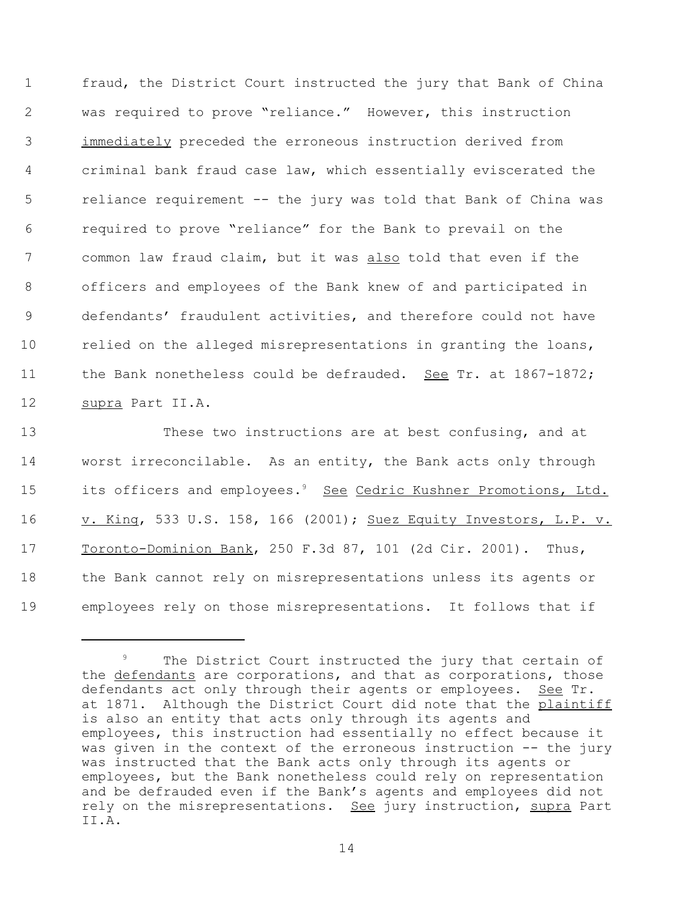fraud, the District Court instructed the jury that Bank of China was required to prove "reliance." However, this instruction immediately preceded the erroneous instruction derived from criminal bank fraud case law, which essentially eviscerated the reliance requirement -- the jury was told that Bank of China was required to prove "reliance" for the Bank to prevail on the 7 common law fraud claim, but it was also told that even if the officers and employees of the Bank knew of and participated in defendants' fraudulent activities, and therefore could not have 10 relied on the alleged misrepresentations in granting the loans, 11 the Bank nonetheless could be defrauded. See Tr. at 1867-1872; supra Part II.A.

 These two instructions are at best confusing, and at worst irreconcilable. As an entity, the Bank acts only through 15 its officers and employees.<sup>9</sup> See Cedric Kushner Promotions, Ltd. 16 v. King, 533 U.S. 158, 166 (2001); Suez Equity Investors, L.P. v. Toronto-Dominion Bank, 250 F.3d 87, 101 (2d Cir. 2001). Thus, the Bank cannot rely on misrepresentations unless its agents or employees rely on those misrepresentations. It follows that if

The District Court instructed the jury that certain of the defendants are corporations, and that as corporations, those defendants act only through their agents or employees. See Tr. at 1871. Although the District Court did note that the plaintiff is also an entity that acts only through its agents and employees, this instruction had essentially no effect because it was given in the context of the erroneous instruction -- the jury was instructed that the Bank acts only through its agents or employees, but the Bank nonetheless could rely on representation and be defrauded even if the Bank's agents and employees did not rely on the misrepresentations. See jury instruction, supra Part II.A.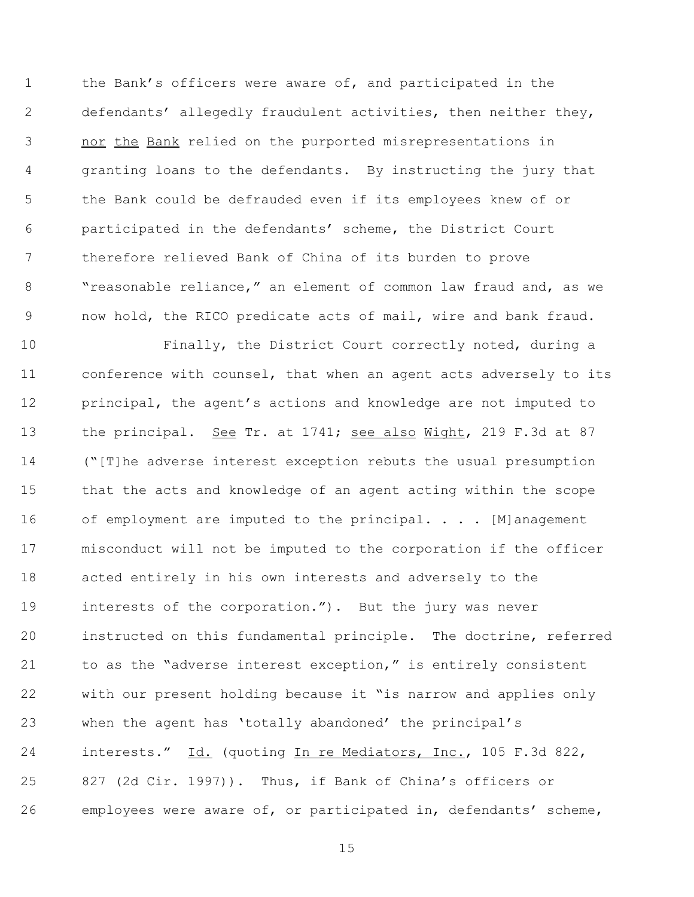the Bank's officers were aware of, and participated in the defendants' allegedly fraudulent activities, then neither they, 3 nor the Bank relied on the purported misrepresentations in granting loans to the defendants. By instructing the jury that the Bank could be defrauded even if its employees knew of or participated in the defendants' scheme, the District Court therefore relieved Bank of China of its burden to prove "reasonable reliance," an element of common law fraud and, as we now hold, the RICO predicate acts of mail, wire and bank fraud.

 Finally, the District Court correctly noted, during a conference with counsel, that when an agent acts adversely to its principal, the agent's actions and knowledge are not imputed to 13 the principal. See Tr. at 1741; see also Wight, 219 F.3d at 87 ("[T]he adverse interest exception rebuts the usual presumption that the acts and knowledge of an agent acting within the scope 16 of employment are imputed to the principal. . . . [M]anagement misconduct will not be imputed to the corporation if the officer acted entirely in his own interests and adversely to the interests of the corporation."). But the jury was never instructed on this fundamental principle. The doctrine, referred to as the "adverse interest exception," is entirely consistent with our present holding because it "is narrow and applies only when the agent has 'totally abandoned' the principal's interests." Id. (quoting In re Mediators, Inc., 105 F.3d 822, 827 (2d Cir. 1997)). Thus, if Bank of China's officers or employees were aware of, or participated in, defendants' scheme,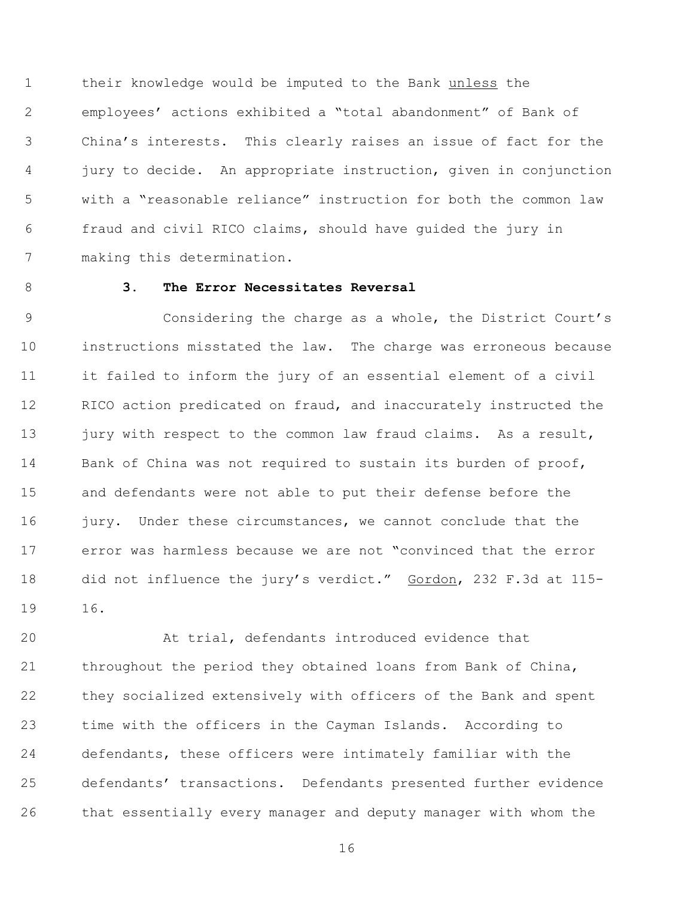their knowledge would be imputed to the Bank unless the employees' actions exhibited a "total abandonment" of Bank of China's interests. This clearly raises an issue of fact for the jury to decide. An appropriate instruction, given in conjunction with a "reasonable reliance" instruction for both the common law fraud and civil RICO claims, should have guided the jury in making this determination.

# **3. The Error Necessitates Reversal**

 Considering the charge as a whole, the District Court's instructions misstated the law. The charge was erroneous because it failed to inform the jury of an essential element of a civil 12 RICO action predicated on fraud, and inaccurately instructed the 13 jury with respect to the common law fraud claims. As a result, Bank of China was not required to sustain its burden of proof, and defendants were not able to put their defense before the 16 jury. Under these circumstances, we cannot conclude that the error was harmless because we are not "convinced that the error 18 did not influence the jury's verdict." Gordon, 232 F.3d at 115-16.

 At trial, defendants introduced evidence that throughout the period they obtained loans from Bank of China, they socialized extensively with officers of the Bank and spent time with the officers in the Cayman Islands. According to defendants, these officers were intimately familiar with the defendants' transactions. Defendants presented further evidence that essentially every manager and deputy manager with whom the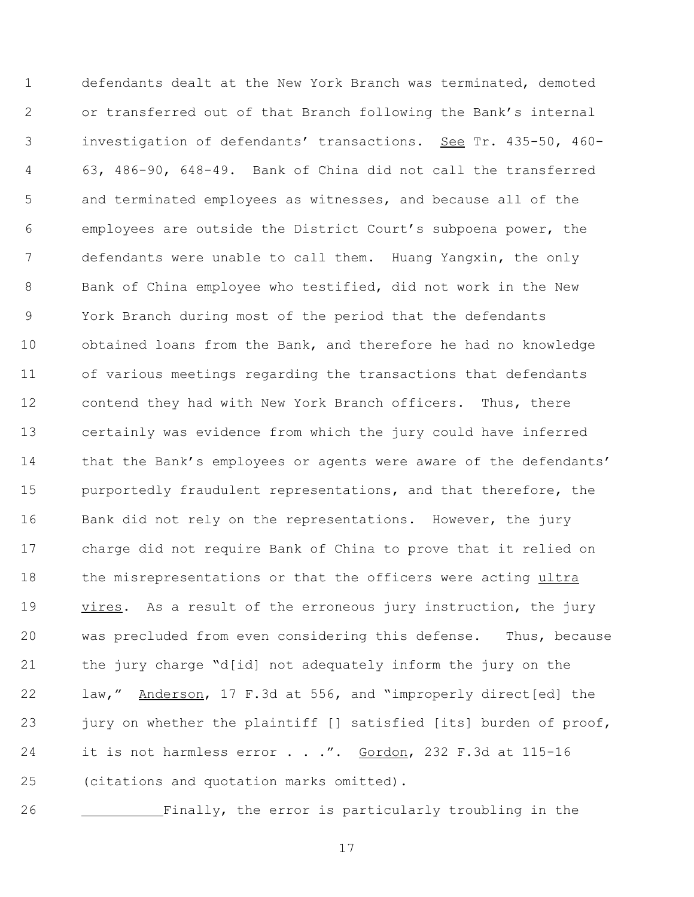defendants dealt at the New York Branch was terminated, demoted or transferred out of that Branch following the Bank's internal investigation of defendants' transactions. See Tr. 435-50, 460- 63, 486-90, 648-49. Bank of China did not call the transferred and terminated employees as witnesses, and because all of the employees are outside the District Court's subpoena power, the defendants were unable to call them. Huang Yangxin, the only Bank of China employee who testified, did not work in the New York Branch during most of the period that the defendants obtained loans from the Bank, and therefore he had no knowledge of various meetings regarding the transactions that defendants 12 contend they had with New York Branch officers. Thus, there certainly was evidence from which the jury could have inferred 14 that the Bank's employees or agents were aware of the defendants' 15 purportedly fraudulent representations, and that therefore, the 16 Bank did not rely on the representations. However, the jury charge did not require Bank of China to prove that it relied on 18 the misrepresentations or that the officers were acting ultra 19 vires. As a result of the erroneous jury instruction, the jury was precluded from even considering this defense. Thus, because the jury charge "d[id] not adequately inform the jury on the 22 law," Anderson, 17 F.3d at 556, and "improperly direct[ed] the 23 jury on whether the plaintiff [] satisfied [its] burden of proof, 24 it is not harmless error . . .". Gordon, 232 F.3d at 115-16 (citations and quotation marks omitted).

Finally, the error is particularly troubling in the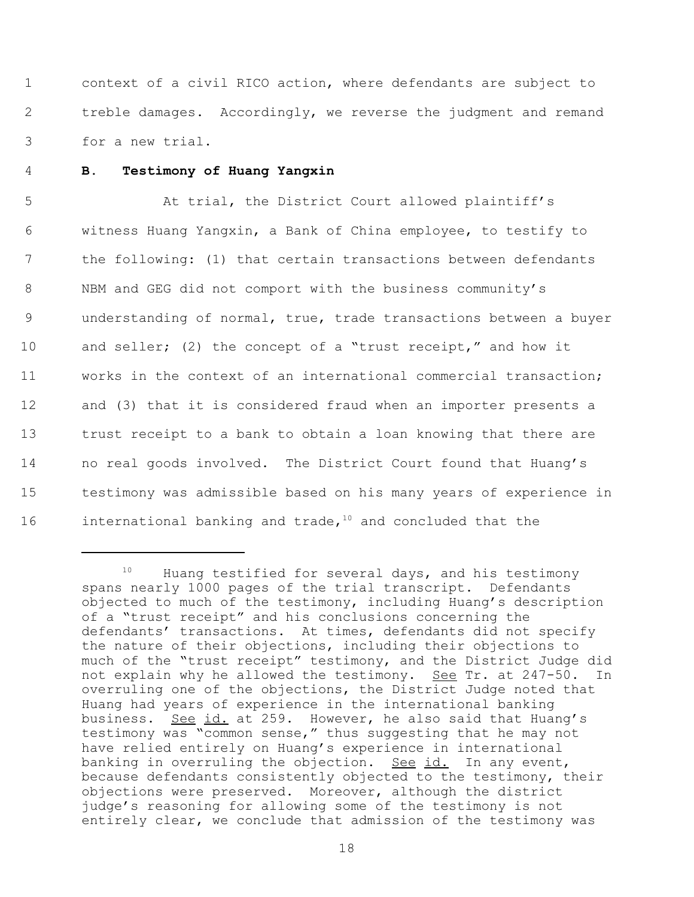1 context of a civil RICO action, where defendants are subject to 2 treble damages. Accordingly, we reverse the judgment and remand 3 for a new trial.

#### 4 **B. Testimony of Huang Yangxin**

5 At trial, the District Court allowed plaintiff's witness Huang Yangxin, a Bank of China employee, to testify to the following: (1) that certain transactions between defendants NBM and GEG did not comport with the business community's understanding of normal, true, trade transactions between a buyer 10 and seller; (2) the concept of a "trust receipt," and how it works in the context of an international commercial transaction; and (3) that it is considered fraud when an importer presents a trust receipt to a bank to obtain a loan knowing that there are no real goods involved. The District Court found that Huang's testimony was admissible based on his many years of experience in 16 international banking and trade, $10$  and concluded that the

<sup>&</sup>lt;sup>10</sup> Huang testified for several days, and his testimony spans nearly 1000 pages of the trial transcript. Defendants objected to much of the testimony, including Huang's description of a "trust receipt" and his conclusions concerning the defendants' transactions. At times, defendants did not specify the nature of their objections, including their objections to much of the "trust receipt" testimony, and the District Judge did not explain why he allowed the testimony. See Tr. at 247-50. In overruling one of the objections, the District Judge noted that Huang had years of experience in the international banking business. See id. at 259. However, he also said that Huang's testimony was "common sense," thus suggesting that he may not have relied entirely on Huang's experience in international banking in overruling the objection. See id. In any event, because defendants consistently objected to the testimony, their objections were preserved. Moreover, although the district judge's reasoning for allowing some of the testimony is not entirely clear, we conclude that admission of the testimony was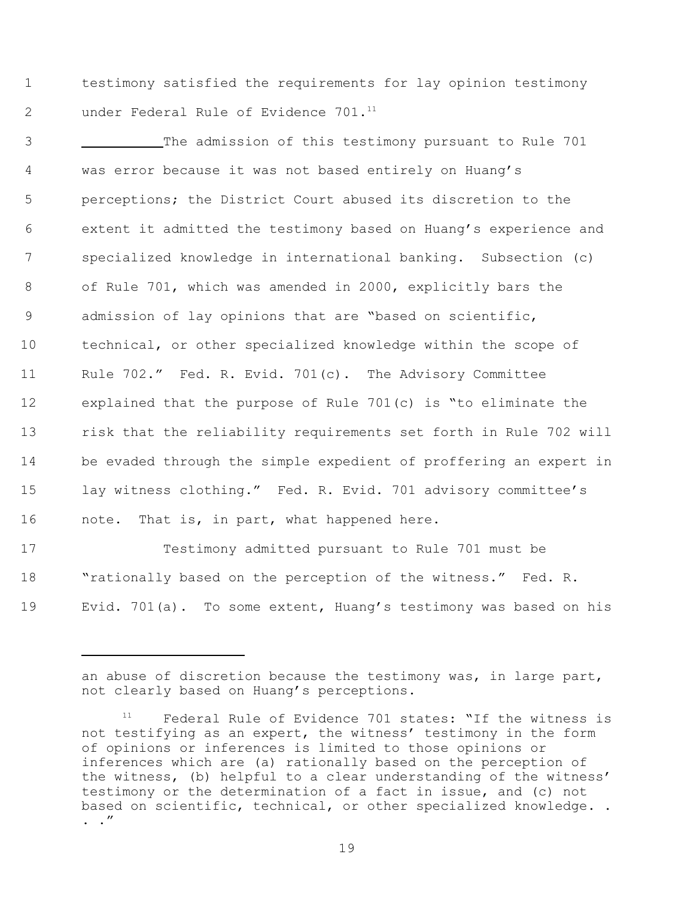1 testimony satisfied the requirements for lay opinion testimony 2 under Federal Rule of Evidence 701.<sup>11</sup>

 The admission of this testimony pursuant to Rule 701 was error because it was not based entirely on Huang's perceptions; the District Court abused its discretion to the extent it admitted the testimony based on Huang's experience and specialized knowledge in international banking. Subsection (c) of Rule 701, which was amended in 2000, explicitly bars the admission of lay opinions that are "based on scientific, technical, or other specialized knowledge within the scope of Rule 702." Fed. R. Evid. 701(c). The Advisory Committee explained that the purpose of Rule 701(c) is "to eliminate the risk that the reliability requirements set forth in Rule 702 will be evaded through the simple expedient of proffering an expert in lay witness clothing." Fed. R. Evid. 701 advisory committee's 16 note. That is, in part, what happened here.

17 Testimony admitted pursuant to Rule 701 must be 18 "rationally based on the perception of the witness." Fed. R. 19 Evid. 701(a). To some extent, Huang's testimony was based on his

an abuse of discretion because the testimony was, in large part, not clearly based on Huang's perceptions.

Federal Rule of Evidence 701 states: "If the witness is not testifying as an expert, the witness' testimony in the form of opinions or inferences is limited to those opinions or inferences which are (a) rationally based on the perception of the witness, (b) helpful to a clear understanding of the witness' testimony or the determination of a fact in issue, and (c) not based on scientific, technical, or other specialized knowledge. . . ."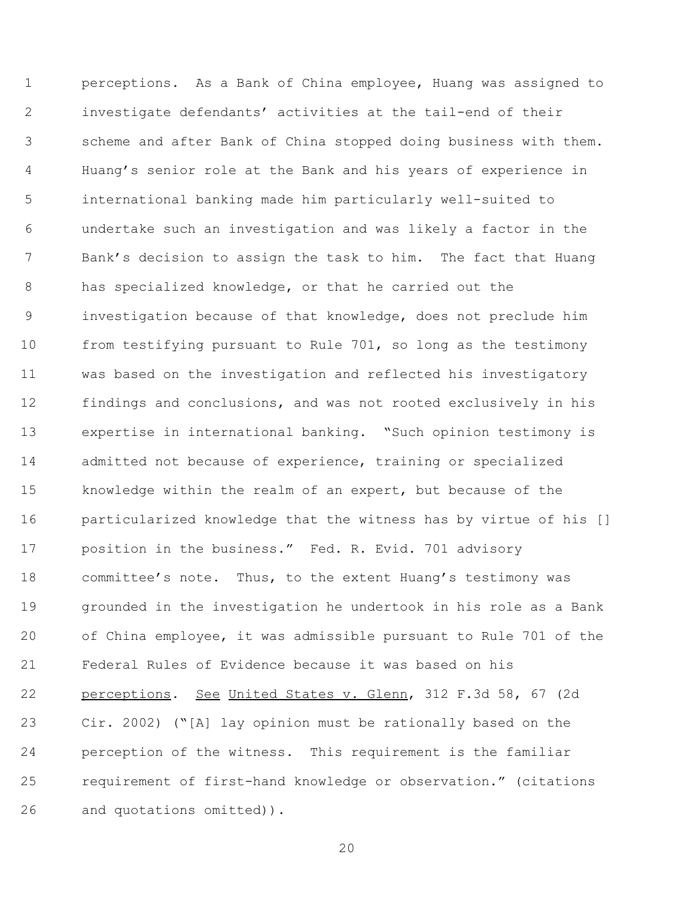perceptions. As a Bank of China employee, Huang was assigned to investigate defendants' activities at the tail-end of their scheme and after Bank of China stopped doing business with them. Huang's senior role at the Bank and his years of experience in international banking made him particularly well-suited to undertake such an investigation and was likely a factor in the Bank's decision to assign the task to him. The fact that Huang has specialized knowledge, or that he carried out the investigation because of that knowledge, does not preclude him from testifying pursuant to Rule 701, so long as the testimony was based on the investigation and reflected his investigatory findings and conclusions, and was not rooted exclusively in his expertise in international banking. "Such opinion testimony is admitted not because of experience, training or specialized knowledge within the realm of an expert, but because of the particularized knowledge that the witness has by virtue of his [] position in the business." Fed. R. Evid. 701 advisory committee's note. Thus, to the extent Huang's testimony was grounded in the investigation he undertook in his role as a Bank of China employee, it was admissible pursuant to Rule 701 of the Federal Rules of Evidence because it was based on his perceptions. See United States v. Glenn, 312 F.3d 58, 67 (2d Cir. 2002) ("[A] lay opinion must be rationally based on the perception of the witness. This requirement is the familiar requirement of first-hand knowledge or observation." (citations and quotations omitted)).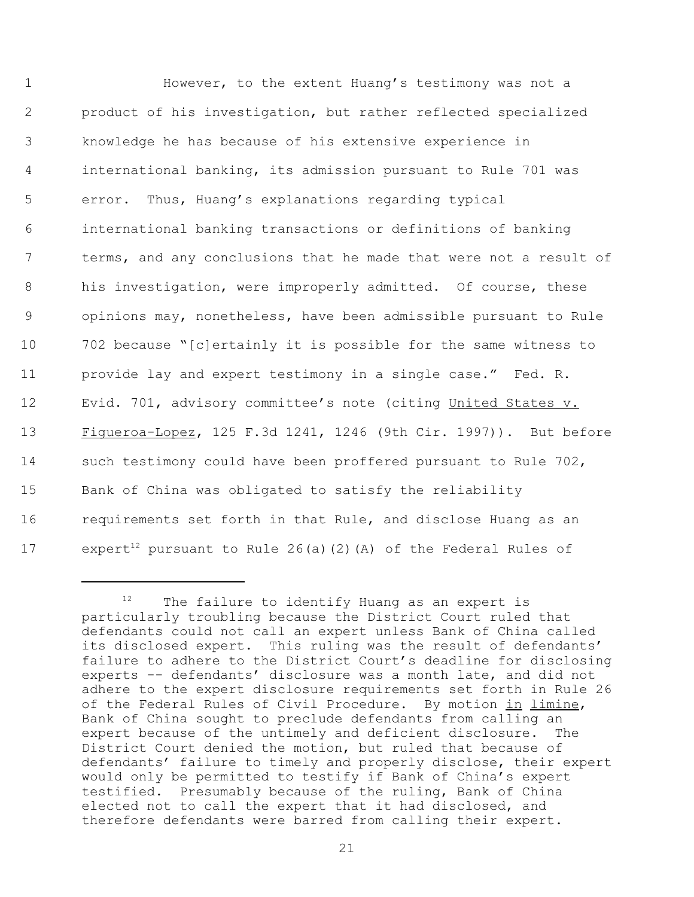However, to the extent Huang's testimony was not a product of his investigation, but rather reflected specialized knowledge he has because of his extensive experience in international banking, its admission pursuant to Rule 701 was error. Thus, Huang's explanations regarding typical international banking transactions or definitions of banking terms, and any conclusions that he made that were not a result of 8 his investigation, were improperly admitted. Of course, these opinions may, nonetheless, have been admissible pursuant to Rule 702 because "[c]ertainly it is possible for the same witness to provide lay and expert testimony in a single case." Fed. R. Evid. 701, advisory committee's note (citing United States v. Figueroa-Lopez, 125 F.3d 1241, 1246 (9th Cir. 1997)). But before such testimony could have been proffered pursuant to Rule 702, Bank of China was obligated to satisfy the reliability requirements set forth in that Rule, and disclose Huang as an 17 expert<sup>12</sup> pursuant to Rule 26(a)(2)(A) of the Federal Rules of

 $12$  The failure to identify Huang as an expert is particularly troubling because the District Court ruled that defendants could not call an expert unless Bank of China called its disclosed expert. This ruling was the result of defendants' failure to adhere to the District Court's deadline for disclosing experts -- defendants' disclosure was a month late, and did not adhere to the expert disclosure requirements set forth in Rule 26 of the Federal Rules of Civil Procedure. By motion in limine, Bank of China sought to preclude defendants from calling an expert because of the untimely and deficient disclosure. The District Court denied the motion, but ruled that because of defendants' failure to timely and properly disclose, their expert would only be permitted to testify if Bank of China's expert testified. Presumably because of the ruling, Bank of China elected not to call the expert that it had disclosed, and therefore defendants were barred from calling their expert.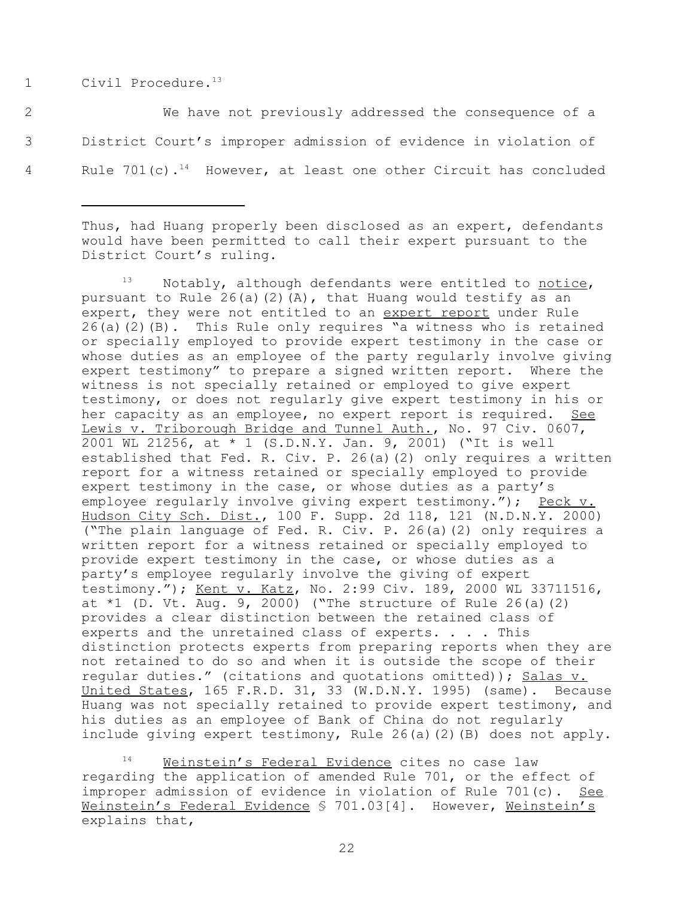1 Civil Procedure.<sup>13</sup>

2 We have not previously addressed the consequence of a 3 District Court's improper admission of evidence in violation of 4 Rule 701(c).<sup>14</sup> However, at least one other Circuit has concluded

Thus, had Huang properly been disclosed as an expert, defendants would have been permitted to call their expert pursuant to the District Court's ruling.

 $13$  Notably, although defendants were entitled to notice, pursuant to Rule  $26(a)(2)(A)$ , that Huang would testify as an expert, they were not entitled to an expert report under Rule 26(a)(2)(B). This Rule only requires "a witness who is retained or specially employed to provide expert testimony in the case or whose duties as an employee of the party regularly involve giving expert testimony" to prepare a signed written report. Where the witness is not specially retained or employed to give expert testimony, or does not regularly give expert testimony in his or her capacity as an employee, no expert report is required. See Lewis v. Triborough Bridge and Tunnel Auth., No. 97 Civ. 0607, 2001 WL 21256, at \* 1 (S.D.N.Y. Jan. 9, 2001) ("It is well established that Fed. R. Civ. P. 26(a)(2) only requires a written report for a witness retained or specially employed to provide expert testimony in the case, or whose duties as a party's employee regularly involve giving expert testimony."); Peck v. Hudson City Sch. Dist., 100 F. Supp. 2d 118, 121 (N.D.N.Y. 2000) ("The plain language of Fed. R. Civ. P. 26(a)(2) only requires a written report for a witness retained or specially employed to provide expert testimony in the case, or whose duties as a party's employee regularly involve the giving of expert testimony."); Kent v. Katz, No. 2:99 Civ. 189, 2000 WL 33711516, at  $*1$  (D. Vt. Aug. 9, 2000) ("The structure of Rule 26(a)(2) provides a clear distinction between the retained class of experts and the unretained class of experts. . . . This distinction protects experts from preparing reports when they are not retained to do so and when it is outside the scope of their regular duties." (citations and quotations omitted)); Salas v. United States, 165 F.R.D. 31, 33 (W.D.N.Y. 1995) (same). Because Huang was not specially retained to provide expert testimony, and his duties as an employee of Bank of China do not regularly include giving expert testimony, Rule 26(a)(2)(B) does not apply.

Weinstein's Federal Evidence cites no case law regarding the application of amended Rule 701, or the effect of improper admission of evidence in violation of Rule 701(c). See Weinstein's Federal Evidence § 701.03[4]. However, Weinstein's explains that,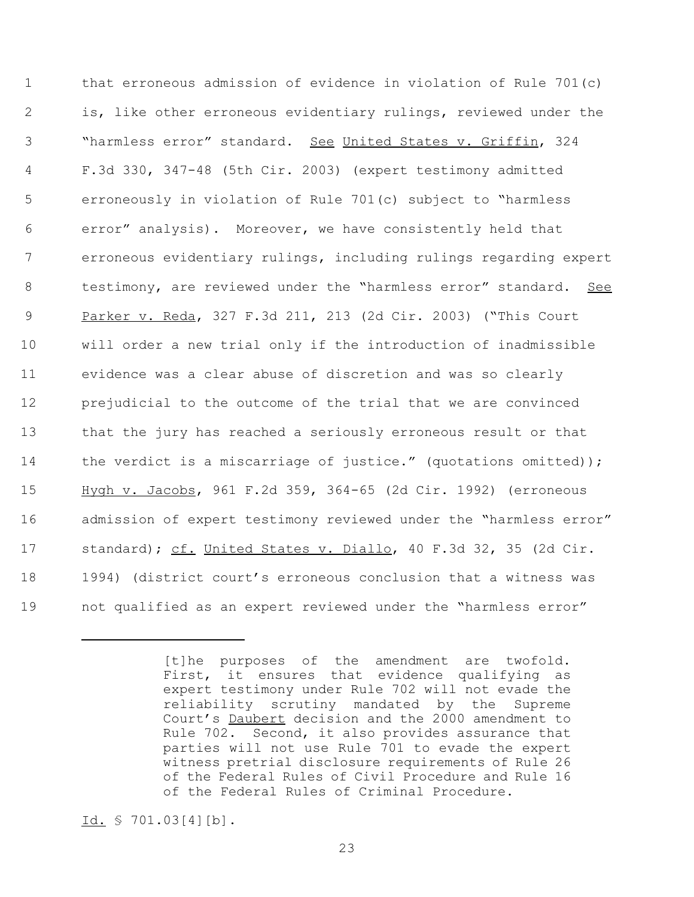that erroneous admission of evidence in violation of Rule 701(c) is, like other erroneous evidentiary rulings, reviewed under the "harmless error" standard. See United States v. Griffin, 324 F.3d 330, 347-48 (5th Cir. 2003) (expert testimony admitted erroneously in violation of Rule 701(c) subject to "harmless error" analysis). Moreover, we have consistently held that erroneous evidentiary rulings, including rulings regarding expert testimony, are reviewed under the "harmless error" standard. See Parker v. Reda, 327 F.3d 211, 213 (2d Cir. 2003) ("This Court will order a new trial only if the introduction of inadmissible evidence was a clear abuse of discretion and was so clearly prejudicial to the outcome of the trial that we are convinced that the jury has reached a seriously erroneous result or that 14 the verdict is a miscarriage of justice." (quotations omitted)); Hygh v. Jacobs, 961 F.2d 359, 364-65 (2d Cir. 1992) (erroneous 16 admission of expert testimony reviewed under the "harmless error" standard); cf. United States v. Diallo, 40 F.3d 32, 35 (2d Cir. 1994) (district court's erroneous conclusion that a witness was not qualified as an expert reviewed under the "harmless error"

<sup>[</sup>t]he purposes of the amendment are twofold. First, it ensures that evidence qualifying as expert testimony under Rule 702 will not evade the reliability scrutiny mandated by the Supreme Court's Daubert decision and the 2000 amendment to Rule 702. Second, it also provides assurance that parties will not use Rule 701 to evade the expert witness pretrial disclosure requirements of Rule 26 of the Federal Rules of Civil Procedure and Rule 16 of the Federal Rules of Criminal Procedure.